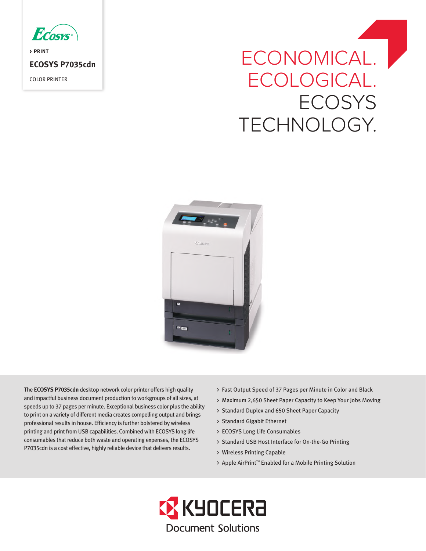

**> PRINT ECOSYS P7035cdn** COLOR PRINTER

# ECONOMICAL. ECOLOGICAL. **ECOSYS** TECHNOLOGY.



The **ECOSYS P7035cdn** desktop network color printer offers high quality and impactful business document production to workgroups of all sizes, at speeds up to 37 pages per minute. Exceptional business color plus the ability to print on a variety of different media creates compelling output and brings professional results in house. Efficiency is further bolstered by wireless printing and print from USB capabilities. Combined with ECOSYS long life consumables that reduce both waste and operating expenses, the ECOSYS P7035cdn is a cost effective, highly reliable device that delivers results.

- > Fast Output Speed of 37 Pages per Minute in Color and Black
- > Maximum 2,650 Sheet Paper Capacity to Keep Your Jobs Moving
- > Standard Duplex and 650 Sheet Paper Capacity
- > Standard Gigabit Ethernet
- > ECOSYS Long Life Consumables
- > Standard USB Host Interface for On-the-Go Printing
- > Wireless Printing Capable
- > Apple AirPrint™ Enabled for a Mobile Printing Solution